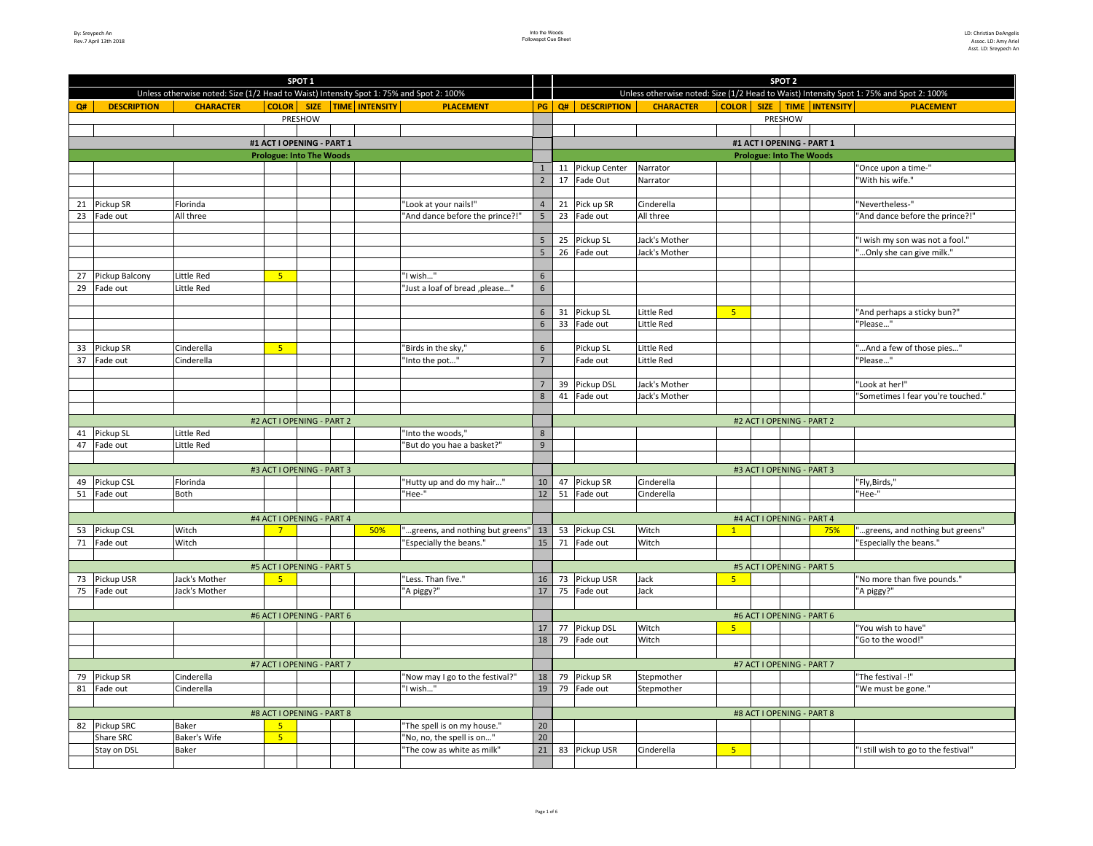|    |                    |                                                                                         |                                 | SPOT <sub>1</sub> |                                 |                                     |                 | SPOT <sub>2</sub> |                                                                                         |                  |                |         |                                 |     |                                      |  |
|----|--------------------|-----------------------------------------------------------------------------------------|---------------------------------|-------------------|---------------------------------|-------------------------------------|-----------------|-------------------|-----------------------------------------------------------------------------------------|------------------|----------------|---------|---------------------------------|-----|--------------------------------------|--|
|    |                    | Unless otherwise noted: Size (1/2 Head to Waist) Intensity Spot 1: 75% and Spot 2: 100% |                                 |                   |                                 |                                     |                 |                   | Unless otherwise noted: Size (1/2 Head to Waist) Intensity Spot 1: 75% and Spot 2: 100% |                  |                |         |                                 |     |                                      |  |
| Q# | <b>DESCRIPTION</b> | <b>CHARACTER</b>                                                                        |                                 |                   | COLOR   SIZE   TIME   INTENSITY | <b>PLACEMENT</b>                    | PG              |                   | Q# DESCRIPTION                                                                          | <b>CHARACTER</b> |                |         | COLOR SIZE TIME INTENSITY       |     | <b>PLACEMENT</b>                     |  |
|    |                    |                                                                                         |                                 | PRESHOW           |                                 |                                     |                 |                   |                                                                                         |                  |                | PRESHOW |                                 |     |                                      |  |
|    |                    |                                                                                         |                                 |                   |                                 |                                     |                 |                   |                                                                                         |                  |                |         |                                 |     |                                      |  |
|    |                    |                                                                                         | #1 ACT I OPENING - PART 1       |                   |                                 |                                     |                 |                   |                                                                                         |                  |                |         | #1 ACT I OPENING - PART 1       |     |                                      |  |
|    |                    |                                                                                         | <b>Prologue: Into The Woods</b> |                   |                                 |                                     |                 |                   |                                                                                         |                  |                |         | <b>Prologue: Into The Woods</b> |     |                                      |  |
|    |                    |                                                                                         |                                 |                   |                                 |                                     | $\mathbf{1}$    |                   | 11 Pickup Center                                                                        | Narrator         |                |         |                                 |     | "Once upon a time-"                  |  |
|    |                    |                                                                                         |                                 |                   |                                 |                                     | $\overline{2}$  |                   | 17 Fade Out                                                                             | Narrator         |                |         |                                 |     | "With his wife."                     |  |
|    |                    |                                                                                         |                                 |                   |                                 |                                     |                 |                   |                                                                                         |                  |                |         |                                 |     |                                      |  |
|    | 21 Pickup SR       | Florinda                                                                                |                                 |                   |                                 | "Look at your nails!"               | $\overline{4}$  |                   | 21 Pick up SR                                                                           | Cinderella       |                |         |                                 |     | "Nevertheless-"                      |  |
| 23 | Fade out           | All three                                                                               |                                 |                   |                                 | "And dance before the prince?!"     | 5               |                   | 23 Fade out                                                                             | All three        |                |         |                                 |     | "And dance before the prince?!"      |  |
|    |                    |                                                                                         |                                 |                   |                                 |                                     |                 |                   |                                                                                         |                  |                |         |                                 |     |                                      |  |
|    |                    |                                                                                         |                                 |                   |                                 |                                     | $5\phantom{a}$  |                   | 25 Pickup SL                                                                            | Jack's Mother    |                |         |                                 |     | "I wish my son was not a fool."      |  |
|    |                    |                                                                                         |                                 |                   |                                 |                                     | $5\overline{)}$ |                   | 26 Fade out                                                                             | Jack's Mother    |                |         |                                 |     | " Only she can give milk."           |  |
|    |                    |                                                                                         |                                 |                   |                                 |                                     |                 |                   |                                                                                         |                  |                |         |                                 |     |                                      |  |
| 27 | Pickup Balcony     | Little Red                                                                              | 5 <sub>1</sub>                  |                   |                                 | "I wish"                            | $6\overline{6}$ |                   |                                                                                         |                  |                |         |                                 |     |                                      |  |
|    | 29 Fade out        | Little Red                                                                              |                                 |                   |                                 | "Just a loaf of bread ,please"      | 6               |                   |                                                                                         |                  |                |         |                                 |     |                                      |  |
|    |                    |                                                                                         |                                 |                   |                                 |                                     |                 |                   |                                                                                         |                  |                |         |                                 |     |                                      |  |
|    |                    |                                                                                         |                                 |                   |                                 |                                     | $6\overline{6}$ |                   | 31 Pickup SL                                                                            | Little Red       | $-5$           |         |                                 |     | "And perhaps a sticky bun?"          |  |
|    |                    |                                                                                         |                                 |                   |                                 |                                     | $6\overline{6}$ |                   | 33 Fade out                                                                             | Little Red       |                |         |                                 |     | 'Please"                             |  |
|    |                    |                                                                                         |                                 |                   |                                 |                                     |                 |                   |                                                                                         |                  |                |         |                                 |     |                                      |  |
| 33 | Pickup SR          | Cinderella                                                                              | 5 <sup>°</sup>                  |                   |                                 | "Birds in the sky,"                 | $\,$ 6 $\,$     |                   | Pickup SL                                                                               | Little Red       |                |         |                                 |     | " And a few of those pies"           |  |
| 37 | Fade out           | Cinderella                                                                              |                                 |                   |                                 | "Into the pot"                      | $\overline{7}$  |                   | Fade out                                                                                | Little Red       |                |         |                                 |     | "Please"                             |  |
|    |                    |                                                                                         |                                 |                   |                                 |                                     |                 |                   |                                                                                         |                  |                |         |                                 |     |                                      |  |
|    |                    |                                                                                         |                                 |                   |                                 |                                     | $\overline{7}$  | 39                | Pickup DSL                                                                              | Jack's Mother    |                |         |                                 |     | "Look at her!"                       |  |
|    |                    |                                                                                         |                                 |                   |                                 |                                     | 8               | 41                | Fade out                                                                                | Jack's Mother    |                |         |                                 |     | "Sometimes I fear you're touched."   |  |
|    |                    |                                                                                         |                                 |                   |                                 |                                     |                 |                   |                                                                                         |                  |                |         |                                 |     |                                      |  |
|    |                    |                                                                                         | #2 ACT I OPENING - PART 2       |                   |                                 |                                     |                 |                   |                                                                                         |                  |                |         | #2 ACT I OPENING - PART 2       |     |                                      |  |
| 41 | Pickup SL          | Little Red                                                                              |                                 |                   |                                 | "Into the woods,"                   | 8               |                   |                                                                                         |                  |                |         |                                 |     |                                      |  |
| 47 | Fade out           | Little Red                                                                              |                                 |                   |                                 | "But do you hae a basket?"          | 9               |                   |                                                                                         |                  |                |         |                                 |     |                                      |  |
|    |                    |                                                                                         |                                 |                   |                                 |                                     |                 |                   |                                                                                         |                  |                |         |                                 |     |                                      |  |
|    |                    |                                                                                         | #3 ACT I OPENING - PART 3       |                   |                                 |                                     |                 |                   |                                                                                         |                  |                |         | #3 ACT I OPENING - PART 3       |     |                                      |  |
|    | 49 Pickup CSL      | Florinda                                                                                |                                 |                   |                                 | "Hutty up and do my hair"           | $10\,$          |                   | 47 Pickup SR                                                                            | Cinderella       |                |         |                                 |     | "Fly,Birds,"                         |  |
|    | 51 Fade out        | Both                                                                                    |                                 |                   |                                 | "Hee-"                              | 12              |                   | 51 Fade out                                                                             | Cinderella       |                |         |                                 |     | "Hee-"                               |  |
|    |                    |                                                                                         |                                 |                   |                                 |                                     |                 |                   |                                                                                         |                  |                |         |                                 |     |                                      |  |
|    |                    |                                                                                         | #4 ACT I OPENING - PART 4       |                   |                                 |                                     |                 |                   |                                                                                         |                  |                |         | #4 ACT I OPENING - PART 4       |     |                                      |  |
|    | 53 Pickup CSL      | Witch                                                                                   | 7 <sup>7</sup>                  |                   | 50%                             | "greens, and nothing but greens" 13 |                 |                   | 53 Pickup CSL                                                                           | Witch            | $\mathbf{1}$   |         |                                 | 75% | "greens, and nothing but greens"     |  |
|    | 71 Fade out        | Witch                                                                                   |                                 |                   |                                 | "Especially the beans."             | 15              | 71                | Fade out                                                                                | Witch            |                |         |                                 |     | "Especially the beans."              |  |
|    |                    |                                                                                         |                                 |                   |                                 |                                     |                 |                   |                                                                                         |                  |                |         |                                 |     |                                      |  |
|    |                    |                                                                                         | #5 ACT I OPENING - PART 5       |                   |                                 |                                     |                 |                   |                                                                                         |                  |                |         | #5 ACT I OPENING - PART 5       |     |                                      |  |
|    | 73 Pickup USR      | Jack's Mother                                                                           | $\overline{5}$                  |                   |                                 | "Less. Than five."                  | 16              |                   | 73 Pickup USR                                                                           | Jack             | 5 <sup>1</sup> |         |                                 |     | "No more than five pounds."          |  |
|    | 75 Fade out        | Jack's Mother                                                                           |                                 |                   |                                 | "A piggy?"                          | 17              |                   | 75 Fade out                                                                             | Jack             |                |         |                                 |     | "A piggy?"                           |  |
|    |                    |                                                                                         |                                 |                   |                                 |                                     |                 |                   |                                                                                         |                  |                |         |                                 |     |                                      |  |
|    |                    |                                                                                         | #6 ACT I OPENING - PART 6       |                   |                                 |                                     |                 |                   |                                                                                         |                  |                |         | #6 ACT I OPENING - PART 6       |     |                                      |  |
|    |                    |                                                                                         |                                 |                   |                                 |                                     | $17\,$          |                   | 77 Pickup DSL                                                                           | Witch            | 5 <sub>5</sub> |         |                                 |     | "You wish to have"                   |  |
|    |                    |                                                                                         |                                 |                   |                                 |                                     | 18              |                   | 79 Fade out                                                                             | Witch            |                |         |                                 |     | "Go to the wood!"                    |  |
|    |                    |                                                                                         |                                 |                   |                                 |                                     |                 |                   |                                                                                         |                  |                |         |                                 |     |                                      |  |
|    |                    |                                                                                         | #7 ACT I OPENING - PART 7       |                   |                                 |                                     |                 |                   |                                                                                         |                  |                |         | #7 ACT I OPENING - PART 7       |     |                                      |  |
| 79 | Pickup SR          | Cinderella                                                                              |                                 |                   |                                 | "Now may I go to the festival?"     | 18              |                   | 79 Pickup SR                                                                            | Stepmother       |                |         |                                 |     | "The festival -!"                    |  |
|    | 81 Fade out        | Cinderella                                                                              |                                 |                   |                                 | "I wish"                            | 19              |                   | 79 Fade out                                                                             | Stepmother       |                |         |                                 |     | "We must be gone."                   |  |
|    |                    |                                                                                         |                                 |                   |                                 |                                     |                 |                   |                                                                                         |                  |                |         |                                 |     |                                      |  |
|    |                    |                                                                                         | #8 ACT I OPENING - PART 8       |                   |                                 |                                     |                 |                   |                                                                                         |                  |                |         | #8 ACT I OPENING - PART 8       |     |                                      |  |
|    | 82 Pickup SRC      | <b>Baker</b>                                                                            | 5 <sup>2</sup>                  |                   |                                 | "The spell is on my house."         | 20              |                   |                                                                                         |                  |                |         |                                 |     |                                      |  |
|    | Share SRC          | <b>Baker's Wife</b>                                                                     | 5 <sup>°</sup>                  |                   |                                 | "No, no, the spell is on"           | 20              |                   |                                                                                         |                  |                |         |                                 |     |                                      |  |
|    | Stay on DSL        | <b>Baker</b>                                                                            |                                 |                   |                                 | "The cow as white as milk"          | 21              |                   | 83 Pickup USR                                                                           | Cinderella       | 5 <sub>1</sub> |         |                                 |     | "I still wish to go to the festival" |  |
|    |                    |                                                                                         |                                 |                   |                                 |                                     |                 |                   |                                                                                         |                  |                |         |                                 |     |                                      |  |
|    |                    |                                                                                         |                                 |                   |                                 |                                     |                 |                   |                                                                                         |                  |                |         |                                 |     |                                      |  |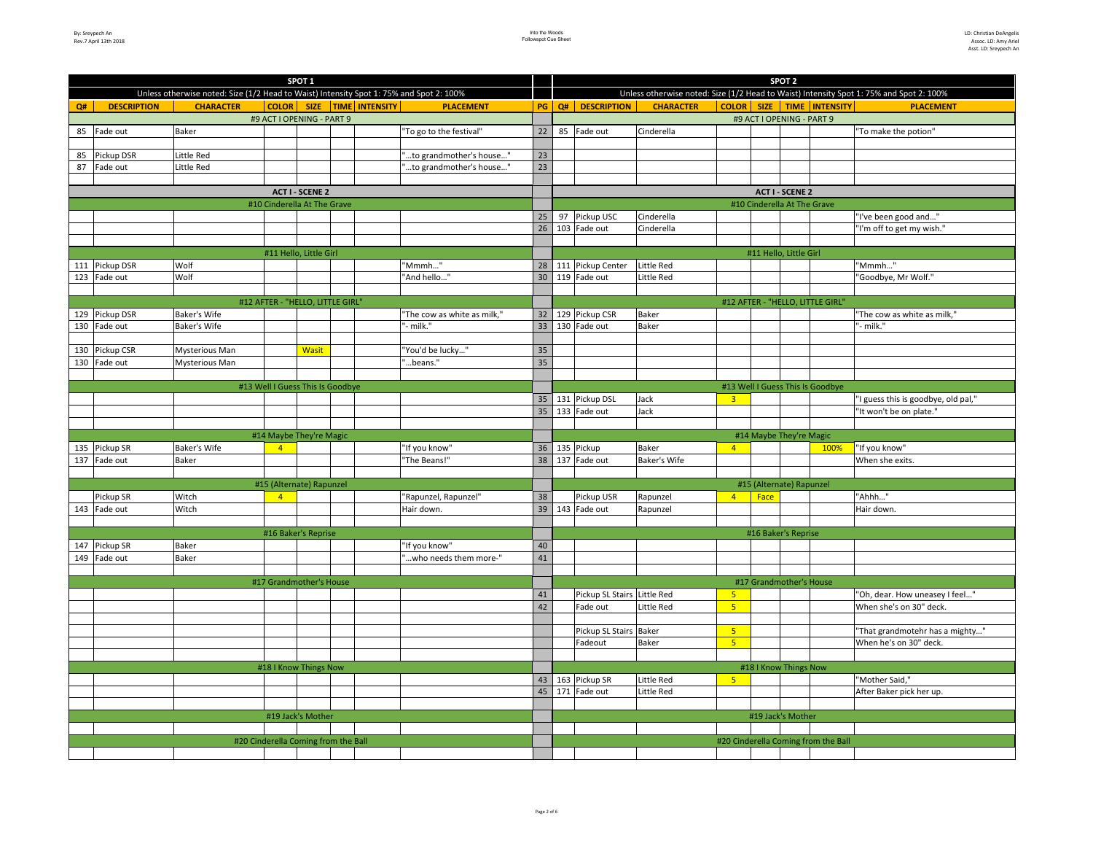| SPOT <sub>1</sub> |                       |                                                                                         |                                     |  |  |                             |    |                                                                                         | SPOT <sub>2</sub>      |                     |                |                             |                        |                                     |                                     |  |
|-------------------|-----------------------|-----------------------------------------------------------------------------------------|-------------------------------------|--|--|-----------------------------|----|-----------------------------------------------------------------------------------------|------------------------|---------------------|----------------|-----------------------------|------------------------|-------------------------------------|-------------------------------------|--|
|                   |                       | Unless otherwise noted: Size (1/2 Head to Waist) Intensity Spot 1: 75% and Spot 2: 100% |                                     |  |  |                             |    | Unless otherwise noted: Size (1/2 Head to Waist) Intensity Spot 1: 75% and Spot 2: 100% |                        |                     |                |                             |                        |                                     |                                     |  |
| Q#                | <b>DESCRIPTION</b>    | <b>CHARACTER</b>                                                                        | <b>COLOR</b> SIZE TIME INTENSITY    |  |  | <b>PLACEMENT</b>            | PG |                                                                                         | Q# DESCRIPTION         | <b>CHARACTER</b>    |                |                             |                        | COLOR SIZE TIME INTENSITY           | <b>PLACEMENT</b>                    |  |
|                   |                       |                                                                                         | #9 ACT I OPENING - PART 9           |  |  |                             |    |                                                                                         |                        |                     |                | #9 ACT I OPENING - PART 9   |                        |                                     |                                     |  |
|                   | 85 Fade out           | Baker                                                                                   |                                     |  |  | 'To go to the festival"     | 22 |                                                                                         | 85 Fade out            | Cinderella          |                |                             |                        |                                     | "To make the potion"                |  |
|                   |                       |                                                                                         |                                     |  |  |                             |    |                                                                                         |                        |                     |                |                             |                        |                                     |                                     |  |
|                   | 85 Pickup DSR         | Little Red                                                                              |                                     |  |  | to grandmother's house"     | 23 |                                                                                         |                        |                     |                |                             |                        |                                     |                                     |  |
|                   | 87 Fade out           | Little Red                                                                              |                                     |  |  | to grandmother's house"     | 23 |                                                                                         |                        |                     |                |                             |                        |                                     |                                     |  |
|                   |                       |                                                                                         |                                     |  |  |                             |    |                                                                                         |                        |                     |                |                             |                        |                                     |                                     |  |
|                   |                       |                                                                                         | <b>ACT I - SCENE 2</b>              |  |  |                             |    |                                                                                         |                        |                     |                |                             | <b>ACT I - SCENE 2</b> |                                     |                                     |  |
|                   |                       |                                                                                         | #10 Cinderella At The Grave         |  |  |                             |    |                                                                                         |                        |                     |                | #10 Cinderella At The Grave |                        |                                     |                                     |  |
|                   |                       |                                                                                         |                                     |  |  |                             | 25 |                                                                                         | 97 Pickup USC          | Cinderella          |                |                             |                        |                                     | "I've been good and"                |  |
|                   |                       |                                                                                         |                                     |  |  |                             | 26 |                                                                                         | 103 Fade out           | Cinderella          |                |                             |                        |                                     | "I'm off to get my wish."           |  |
|                   |                       |                                                                                         |                                     |  |  |                             |    |                                                                                         |                        |                     |                |                             |                        |                                     |                                     |  |
|                   |                       |                                                                                         | #11 Hello, Little Girl              |  |  |                             |    |                                                                                         |                        |                     |                | #11 Hello, Little Girl      |                        |                                     |                                     |  |
|                   | 111 Pickup DSR        | Wolf                                                                                    |                                     |  |  | "Mmmh"                      | 28 |                                                                                         | 111 Pickup Center      | Little Red          |                |                             |                        |                                     | "Mmmh"                              |  |
|                   | 123 Fade out          | Wolf                                                                                    |                                     |  |  | "And hello"                 | 30 |                                                                                         | 119 Fade out           | Little Red          |                |                             |                        |                                     | "Goodbye, Mr Wolf."                 |  |
|                   |                       |                                                                                         |                                     |  |  |                             |    |                                                                                         |                        |                     |                |                             |                        |                                     |                                     |  |
|                   |                       |                                                                                         | #12 AFTER - "HELLO, LITTLE GIRL     |  |  |                             |    |                                                                                         |                        |                     |                |                             |                        | #12 AFTER - "HELLO, LITTLE GIRL'    |                                     |  |
|                   | 129 Pickup DSR        | Baker's Wife                                                                            |                                     |  |  | "The cow as white as milk," | 32 |                                                                                         | 129 Pickup CSR         | <b>Baker</b>        |                |                             |                        |                                     | "The cow as white as milk,"         |  |
|                   | 130 Fade out          | Baker's Wife                                                                            |                                     |  |  | milk."                      | 33 |                                                                                         | 130 Fade out           | Baker               |                |                             |                        |                                     | - milk."                            |  |
|                   |                       |                                                                                         |                                     |  |  |                             |    |                                                                                         |                        |                     |                |                             |                        |                                     |                                     |  |
|                   | 130 Pickup CSR        | Mysterious Man                                                                          | <b>Wasit</b>                        |  |  | 'You'd be lucky"            | 35 |                                                                                         |                        |                     |                |                             |                        |                                     |                                     |  |
|                   | 130 Fade out          | Mysterious Man                                                                          |                                     |  |  | beans."                     | 35 |                                                                                         |                        |                     |                |                             |                        |                                     |                                     |  |
|                   |                       |                                                                                         |                                     |  |  |                             |    |                                                                                         |                        |                     |                |                             |                        |                                     |                                     |  |
|                   |                       |                                                                                         | #13 Well I Guess This Is Goodbye    |  |  |                             |    |                                                                                         |                        |                     |                |                             |                        | #13 Well I Guess This Is Goodbye    |                                     |  |
|                   |                       |                                                                                         |                                     |  |  |                             | 35 |                                                                                         | 131 Pickup DSL         | Jack                | $\overline{3}$ |                             |                        |                                     | "I guess this is goodbye, old pal," |  |
|                   |                       |                                                                                         |                                     |  |  |                             | 35 |                                                                                         | 133 Fade out           | Jack                |                |                             |                        |                                     | "It won't be on plate."             |  |
|                   |                       |                                                                                         |                                     |  |  |                             |    |                                                                                         |                        |                     |                |                             |                        |                                     |                                     |  |
|                   |                       |                                                                                         | #14 Maybe They're Magic             |  |  |                             |    |                                                                                         |                        |                     |                | #14 Maybe They're Magic     |                        |                                     |                                     |  |
|                   | 135 Pickup SR         | Baker's Wife                                                                            | $\overline{4}$                      |  |  | "If you know"               | 36 |                                                                                         | 135 Pickup             | <b>Baker</b>        | $\overline{4}$ |                             |                        | 100%                                | "If you know"                       |  |
|                   | 137 Fade out          | Baker                                                                                   |                                     |  |  | "The Beans!"                | 38 |                                                                                         | 137 Fade out           | <b>Baker's Wife</b> |                |                             |                        |                                     | When she exits.                     |  |
|                   |                       |                                                                                         |                                     |  |  |                             |    |                                                                                         |                        |                     |                |                             |                        |                                     |                                     |  |
|                   |                       |                                                                                         | #15 (Alternate) Rapunzel            |  |  |                             |    |                                                                                         |                        |                     |                | #15 (Alternate) Rapunzel    |                        |                                     |                                     |  |
|                   | Pickup SR             | Witch                                                                                   | $\overline{4}$                      |  |  | "Rapunzel, Rapunzel"        | 38 |                                                                                         | Pickup USR             | Rapunzel            | 4 <sup>1</sup> | Face                        |                        |                                     | "Ahhh"                              |  |
|                   | 143 Fade out          | Witch                                                                                   |                                     |  |  | Hair down.                  | 39 |                                                                                         | 143 Fade out           | Rapunzel            |                |                             |                        |                                     | Hair down.                          |  |
|                   |                       |                                                                                         |                                     |  |  |                             |    |                                                                                         |                        |                     |                |                             |                        |                                     |                                     |  |
|                   |                       |                                                                                         | #16 Baker's Reprise                 |  |  |                             |    |                                                                                         |                        |                     |                | #16 Baker's Reprise         |                        |                                     |                                     |  |
|                   | 147 Pickup SR         | Baker                                                                                   |                                     |  |  | "If you know"               | 40 |                                                                                         |                        |                     |                |                             |                        |                                     |                                     |  |
|                   | 149 Fade out          | Baker                                                                                   |                                     |  |  | who needs them more-"       | 41 |                                                                                         |                        |                     |                |                             |                        |                                     |                                     |  |
|                   |                       |                                                                                         |                                     |  |  |                             |    |                                                                                         |                        |                     |                |                             |                        |                                     |                                     |  |
|                   |                       |                                                                                         | #17 Grandmother's House             |  |  |                             |    |                                                                                         |                        |                     |                | #17 Grandmother's House     |                        |                                     |                                     |  |
|                   |                       |                                                                                         |                                     |  |  |                             | 41 |                                                                                         | Pickup SL Stairs       | <b>Little Red</b>   | 5 <sup>2</sup> |                             |                        |                                     | "Oh, dear. How uneasey I feel"      |  |
|                   |                       |                                                                                         |                                     |  |  |                             | 42 |                                                                                         | Fade out               | Little Red          | 5 <sup>°</sup> |                             |                        |                                     | When she's on 30" deck.             |  |
|                   |                       |                                                                                         |                                     |  |  |                             |    |                                                                                         |                        |                     |                |                             |                        |                                     |                                     |  |
|                   |                       |                                                                                         |                                     |  |  |                             |    |                                                                                         | Pickup SL Stairs Baker |                     | 5 <sup>1</sup> |                             |                        |                                     | "That grandmotehr has a mighty"     |  |
|                   |                       |                                                                                         |                                     |  |  |                             |    |                                                                                         | Fadeout                | <b>Baker</b>        | 5 <sup>2</sup> |                             |                        |                                     | When he's on 30" deck.              |  |
|                   |                       |                                                                                         |                                     |  |  |                             |    |                                                                                         |                        |                     |                |                             |                        |                                     |                                     |  |
|                   | #18   Know Things Now |                                                                                         |                                     |  |  |                             |    |                                                                                         |                        |                     |                | #18   Know Things Now       |                        |                                     |                                     |  |
|                   |                       |                                                                                         |                                     |  |  |                             |    |                                                                                         | 43 163 Pickup SR       | Little Red          | 5 <sup>2</sup> |                             |                        |                                     | "Mother Said,"                      |  |
|                   |                       |                                                                                         |                                     |  |  |                             | 45 |                                                                                         | 171 Fade out           | Little Red          |                |                             |                        |                                     | After Baker pick her up.            |  |
|                   |                       |                                                                                         |                                     |  |  |                             |    |                                                                                         |                        |                     |                |                             |                        |                                     |                                     |  |
|                   |                       |                                                                                         | #19 Jack's Mother                   |  |  |                             |    |                                                                                         |                        |                     |                | #19 Jack's Mother           |                        |                                     |                                     |  |
|                   |                       |                                                                                         |                                     |  |  |                             |    |                                                                                         |                        |                     |                |                             |                        |                                     |                                     |  |
|                   |                       |                                                                                         | #20 Cinderella Coming from the Ball |  |  |                             |    |                                                                                         |                        |                     |                |                             |                        | #20 Cinderella Coming from the Ball |                                     |  |
|                   |                       |                                                                                         |                                     |  |  |                             |    |                                                                                         |                        |                     |                |                             |                        |                                     |                                     |  |
|                   |                       |                                                                                         |                                     |  |  |                             |    |                                                                                         |                        |                     |                |                             |                        |                                     |                                     |  |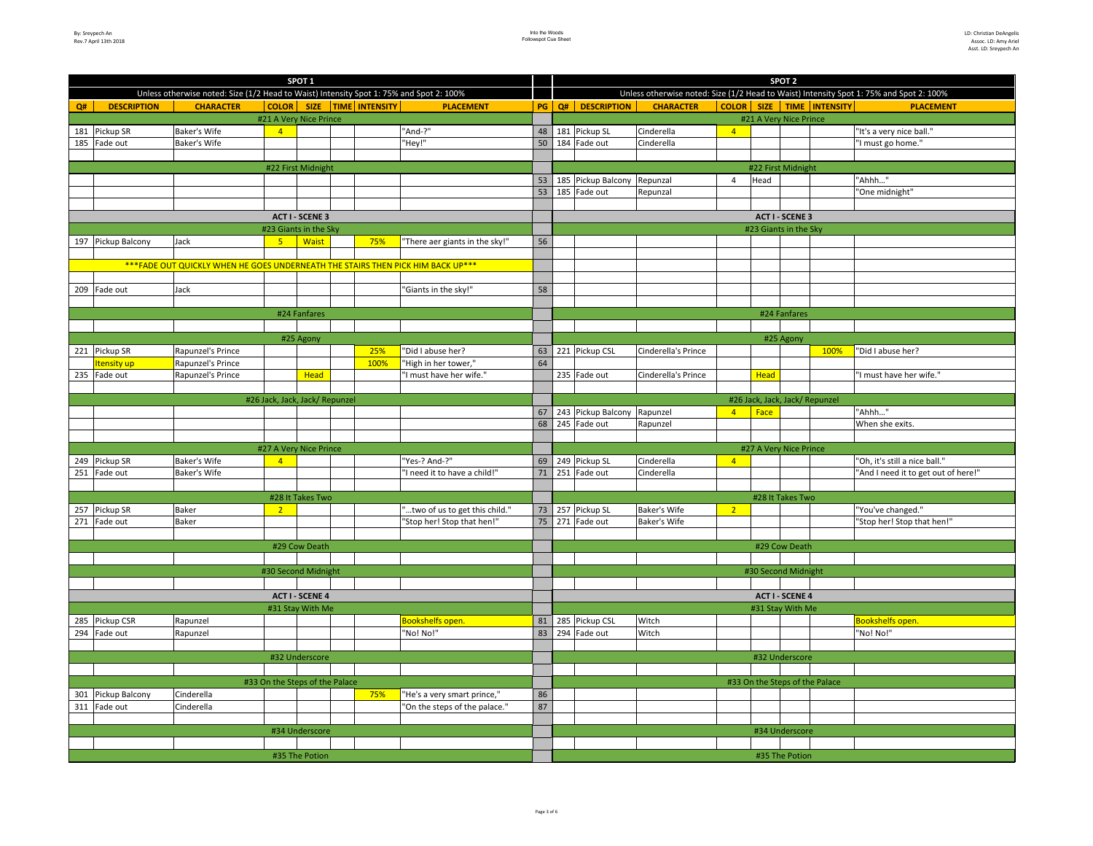|                    |                          |                                                                                         |                                | SPOT <sub>1</sub>      |                                 |                                 |    | SPOT <sub>2</sub> |                                                                                         |                     |                |                                 |      |                                     |  |  |
|--------------------|--------------------------|-----------------------------------------------------------------------------------------|--------------------------------|------------------------|---------------------------------|---------------------------------|----|-------------------|-----------------------------------------------------------------------------------------|---------------------|----------------|---------------------------------|------|-------------------------------------|--|--|
|                    |                          | Unless otherwise noted: Size (1/2 Head to Waist) Intensity Spot 1: 75% and Spot 2: 100% |                                |                        |                                 |                                 |    |                   | Unless otherwise noted: Size (1/2 Head to Waist) Intensity Spot 1: 75% and Spot 2: 100% |                     |                |                                 |      |                                     |  |  |
| Q#                 | <b>DESCRIPTION</b>       | <b>CHARACTER</b>                                                                        |                                |                        | COLOR   SIZE   TIME   INTENSITY | <b>PLACEMENT</b>                | PG |                   | Q# DESCRIPTION                                                                          | <b>CHARACTER</b>    |                | COLOR   SIZE   TIME   INTENSITY |      | <b>PLACEMENT</b>                    |  |  |
|                    |                          |                                                                                         | #21 A Very Nice Prince         |                        |                                 |                                 |    |                   |                                                                                         |                     |                | #21 A Very Nice Prince          |      |                                     |  |  |
|                    | 181 Pickup SR            | <b>Baker's Wife</b>                                                                     | $\overline{4}$                 |                        |                                 | "And-?"                         | 48 |                   | 181 Pickup SL                                                                           | Cinderella          | $\overline{4}$ |                                 |      | "It's a very nice ball."            |  |  |
|                    | 185 Fade out             | Baker's Wife                                                                            |                                |                        |                                 | "Hey!"                          | 50 |                   | 184 Fade out                                                                            | Cinderella          |                |                                 |      | "I must go home."                   |  |  |
|                    |                          |                                                                                         |                                |                        |                                 |                                 |    |                   |                                                                                         |                     |                |                                 |      |                                     |  |  |
| #22 First Midnight |                          |                                                                                         |                                |                        |                                 |                                 |    |                   |                                                                                         |                     |                | #22 First Midnight              |      |                                     |  |  |
|                    |                          |                                                                                         |                                |                        |                                 |                                 | 53 |                   | 185 Pickup Balcony Repunzal                                                             |                     | $\overline{4}$ | Head                            |      | "Ahhh"                              |  |  |
|                    |                          |                                                                                         |                                |                        |                                 |                                 | 53 |                   | 185 Fade out                                                                            | Repunzal            |                |                                 |      | "One midnight"                      |  |  |
|                    |                          |                                                                                         |                                |                        |                                 |                                 |    |                   |                                                                                         |                     |                |                                 |      |                                     |  |  |
|                    |                          |                                                                                         |                                | <b>ACT I - SCENE 3</b> |                                 |                                 |    |                   | <b>ACT I - SCENE 3</b>                                                                  |                     |                |                                 |      |                                     |  |  |
|                    |                          |                                                                                         | #23 Giants in the Sky          |                        |                                 |                                 |    |                   |                                                                                         |                     |                | #23 Giants in the Sky           |      |                                     |  |  |
|                    | 197 Pickup Balcony       | Jack                                                                                    | 5 <sup>2</sup>                 | <b>Waist</b>           | 75%                             | "There aer giants in the sky!"  | 56 |                   |                                                                                         |                     |                |                                 |      |                                     |  |  |
|                    |                          |                                                                                         |                                |                        |                                 |                                 |    |                   |                                                                                         |                     |                |                                 |      |                                     |  |  |
|                    |                          | *** FADE OUT QUICKLY WHEN HE GOES UNDERNEATH THE STAIRS THEN PICK HIM BACK UP***        |                                |                        |                                 |                                 |    |                   |                                                                                         |                     |                |                                 |      |                                     |  |  |
|                    |                          |                                                                                         |                                |                        |                                 |                                 |    |                   |                                                                                         |                     |                |                                 |      |                                     |  |  |
|                    | 209 Fade out             | Jack                                                                                    |                                |                        |                                 | "Giants in the sky!"            | 58 |                   |                                                                                         |                     |                |                                 |      |                                     |  |  |
|                    |                          |                                                                                         |                                |                        |                                 |                                 |    |                   |                                                                                         |                     |                |                                 |      |                                     |  |  |
|                    |                          |                                                                                         |                                | #24 Fanfares           |                                 |                                 |    |                   |                                                                                         |                     |                | #24 Fanfares                    |      |                                     |  |  |
|                    |                          |                                                                                         |                                |                        |                                 |                                 |    |                   |                                                                                         |                     |                |                                 |      |                                     |  |  |
|                    |                          |                                                                                         |                                | #25 Agony              |                                 |                                 |    |                   |                                                                                         |                     |                | #25 Agony                       |      |                                     |  |  |
|                    | 221 Pickup SR            | Rapunzel's Prince                                                                       |                                |                        | 25%                             | "Did I abuse her?               |    |                   | 63 221 Pickup CSL                                                                       | Cinderella's Prince |                |                                 | 100% | "Did I abuse her?                   |  |  |
|                    | <mark>Itensity up</mark> | Rapunzel's Prince                                                                       |                                |                        | 100%                            | "High in her tower,"            | 64 |                   |                                                                                         |                     |                |                                 |      |                                     |  |  |
|                    | 235 Fade out             | Rapunzel's Prince                                                                       |                                | <b>Head</b>            |                                 | "I must have her wife."         |    |                   | 235 Fade out                                                                            | Cinderella's Prince |                | <b>Head</b>                     |      | "I must have her wife."             |  |  |
|                    |                          |                                                                                         |                                |                        |                                 |                                 |    |                   |                                                                                         |                     |                |                                 |      |                                     |  |  |
|                    |                          |                                                                                         | #26 Jack, Jack, Jack/ Repunzel |                        |                                 |                                 |    |                   |                                                                                         |                     |                | #26 Jack, Jack, Jack/ Repunzel  |      |                                     |  |  |
|                    |                          |                                                                                         |                                |                        |                                 |                                 | 67 |                   | 243 Pickup Balcony Rapunzel                                                             |                     | $\overline{4}$ | $ $ Face                        |      | "Ahhh"                              |  |  |
|                    |                          |                                                                                         |                                |                        |                                 |                                 | 68 |                   | 245 Fade out                                                                            | Rapunzel            |                |                                 |      | When she exits.                     |  |  |
|                    |                          |                                                                                         |                                |                        |                                 |                                 |    |                   |                                                                                         |                     |                |                                 |      |                                     |  |  |
|                    |                          |                                                                                         | #27 A Very Nice Prince         |                        |                                 |                                 |    |                   |                                                                                         |                     |                | #27 A Very Nice Prince          |      |                                     |  |  |
|                    | 249 Pickup SR            | Baker's Wife                                                                            | $\overline{4}$                 |                        |                                 | "Yes-? And-?"                   | 69 |                   | 249 Pickup SL                                                                           | Cinderella          | $\overline{4}$ |                                 |      | "Oh, it's still a nice ball."       |  |  |
|                    | 251 Fade out             | Baker's Wife                                                                            |                                |                        |                                 | "I need it to have a child!"    | 71 |                   | 251 Fade out                                                                            | Cinderella          |                |                                 |      | "And I need it to get out of here!" |  |  |
|                    |                          |                                                                                         |                                |                        |                                 |                                 |    |                   |                                                                                         |                     |                |                                 |      |                                     |  |  |
|                    |                          |                                                                                         |                                | #28 It Takes Two       |                                 |                                 |    |                   |                                                                                         |                     |                | #28 It Takes Two                |      |                                     |  |  |
|                    | 257 Pickup SR            | Baker                                                                                   | 2 <sup>2</sup>                 |                        |                                 | " two of us to get this child." | 73 |                   | 257 Pickup SL                                                                           | Baker's Wife        | $\overline{2}$ |                                 |      | "You've changed."                   |  |  |
|                    | 271 Fade out             | Baker                                                                                   |                                |                        |                                 | "Stop her! Stop that hen!"      | 75 |                   | 271 Fade out                                                                            | <b>Baker's Wife</b> |                |                                 |      | "Stop her! Stop that hen!"          |  |  |
|                    |                          |                                                                                         |                                |                        |                                 |                                 |    |                   |                                                                                         |                     |                |                                 |      |                                     |  |  |
|                    |                          |                                                                                         |                                | #29 Cow Death          |                                 |                                 |    |                   |                                                                                         |                     |                | #29 Cow Death                   |      |                                     |  |  |
|                    |                          |                                                                                         |                                |                        |                                 |                                 |    |                   |                                                                                         |                     |                |                                 |      |                                     |  |  |
|                    |                          |                                                                                         | #30 Second Midnight            |                        |                                 |                                 |    |                   |                                                                                         |                     |                | #30 Second Midnight             |      |                                     |  |  |
|                    |                          |                                                                                         |                                |                        |                                 |                                 |    |                   |                                                                                         |                     |                |                                 |      |                                     |  |  |
|                    |                          |                                                                                         |                                | <b>ACT I - SCENE 4</b> |                                 |                                 |    |                   |                                                                                         |                     |                | <b>ACT I - SCENE 4</b>          |      |                                     |  |  |
|                    |                          |                                                                                         |                                | #31 Stay With Me       |                                 |                                 |    |                   |                                                                                         |                     |                | #31 Stay With Me                |      |                                     |  |  |
|                    | 285 Pickup CSR           | Rapunzel                                                                                |                                |                        |                                 | <b>Bookshelfs open.</b>         | 81 |                   | 285 Pickup CSL                                                                          | Witch               |                |                                 |      | <b>Bookshelfs open.</b>             |  |  |
|                    | 294 Fade out             | Rapunzel                                                                                |                                |                        |                                 | "No! No!"                       | 83 |                   | 294 Fade out                                                                            | Witch               |                |                                 |      | "No! No!"                           |  |  |
|                    |                          |                                                                                         |                                |                        |                                 |                                 |    |                   |                                                                                         |                     |                |                                 |      |                                     |  |  |
|                    |                          |                                                                                         |                                | #32 Underscore         |                                 |                                 |    |                   |                                                                                         |                     |                | #32 Underscore                  |      |                                     |  |  |
|                    |                          |                                                                                         |                                |                        |                                 |                                 |    |                   |                                                                                         |                     |                |                                 |      |                                     |  |  |
|                    |                          |                                                                                         | #33 On the Steps of the Palace |                        |                                 |                                 |    |                   |                                                                                         |                     |                | #33 On the Steps of the Palace  |      |                                     |  |  |
|                    | 301 Pickup Balcony       | Cinderella                                                                              |                                |                        | 75%                             | "He's a very smart prince,"     | 86 |                   |                                                                                         |                     |                |                                 |      |                                     |  |  |
|                    | 311 Fade out             | Cinderella                                                                              |                                |                        |                                 | "On the steps of the palace."   | 87 |                   |                                                                                         |                     |                |                                 |      |                                     |  |  |
|                    |                          |                                                                                         |                                |                        |                                 |                                 |    |                   |                                                                                         |                     |                |                                 |      |                                     |  |  |
|                    |                          |                                                                                         |                                | #34 Underscore         |                                 |                                 |    |                   |                                                                                         |                     |                | #34 Underscore                  |      |                                     |  |  |
|                    |                          |                                                                                         |                                |                        |                                 |                                 |    |                   |                                                                                         |                     |                |                                 |      |                                     |  |  |
|                    |                          |                                                                                         |                                | #35 The Potion         |                                 |                                 |    |                   |                                                                                         |                     |                | #35 The Potion                  |      |                                     |  |  |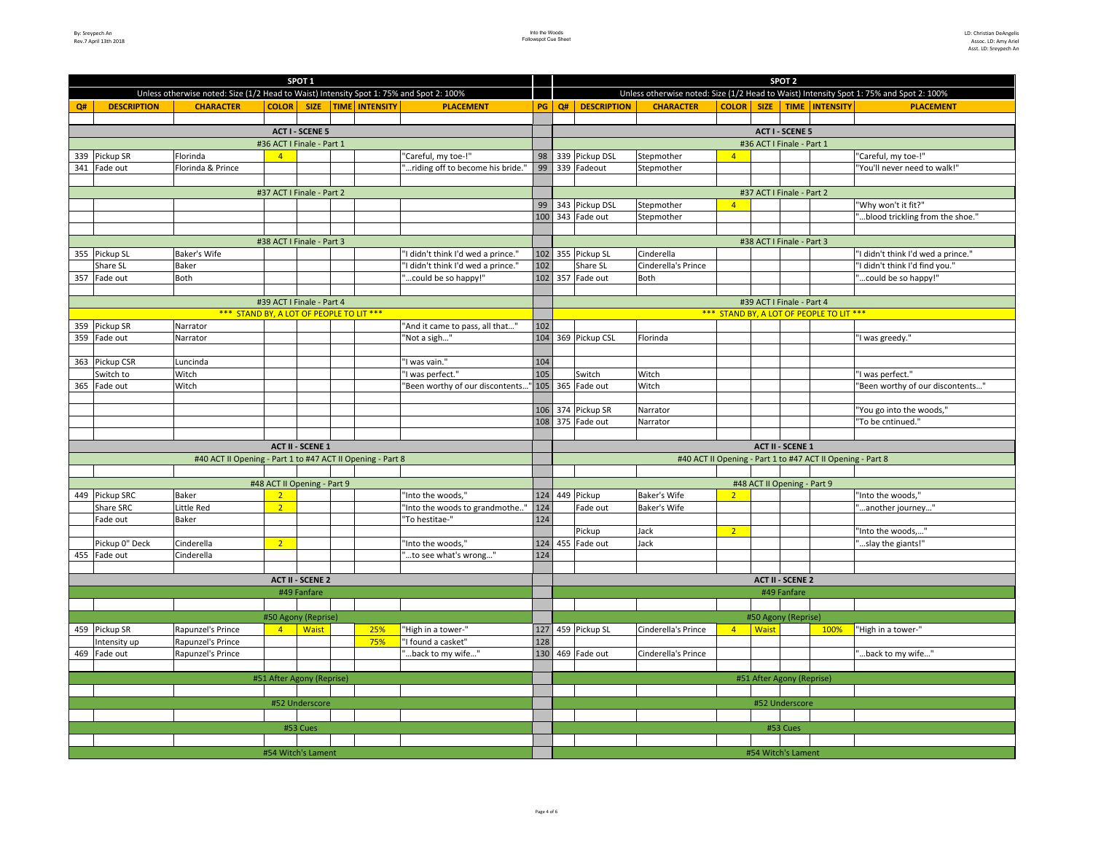| SPOT <sub>1</sub>         |                           |                                                                                         |                             |                         |  |                           |                                    |     | SPOT <sub>2</sub>                              |                           |                     |                   |              |                             |                                                                                         |  |  |  |  |
|---------------------------|---------------------------|-----------------------------------------------------------------------------------------|-----------------------------|-------------------------|--|---------------------------|------------------------------------|-----|------------------------------------------------|---------------------------|---------------------|-------------------|--------------|-----------------------------|-----------------------------------------------------------------------------------------|--|--|--|--|
|                           |                           | Unless otherwise noted: Size (1/2 Head to Waist) Intensity Spot 1: 75% and Spot 2: 100% |                             |                         |  |                           |                                    |     |                                                |                           |                     |                   |              |                             | Unless otherwise noted: Size (1/2 Head to Waist) Intensity Spot 1: 75% and Spot 2: 100% |  |  |  |  |
| Q#                        | <b>DESCRIPTION</b>        | <b>CHARACTER</b>                                                                        |                             |                         |  | COLOR SIZE TIME INTENSITY | <b>PLACEMENT</b>                   |     |                                                | <b>PG</b> Q# DESCRIPTION  | <b>CHARACTER</b>    | <b>COLOR</b> SIZE |              |                             | TIME INTENSITY<br><b>PLACEMENT</b>                                                      |  |  |  |  |
|                           |                           |                                                                                         |                             |                         |  |                           |                                    |     |                                                |                           |                     |                   |              |                             |                                                                                         |  |  |  |  |
| <b>ACT I - SCENE 5</b>    |                           |                                                                                         |                             |                         |  |                           |                                    |     |                                                | <b>ACT I - SCENE 5</b>    |                     |                   |              |                             |                                                                                         |  |  |  |  |
| #36 ACT I Finale - Part 1 |                           |                                                                                         |                             |                         |  |                           |                                    |     |                                                | #36 ACT I Finale - Part 1 |                     |                   |              |                             |                                                                                         |  |  |  |  |
|                           | 339 Pickup SR             | Florinda                                                                                | $\mathbf{A}$                |                         |  |                           | "Careful, my toe-!"                | 98  | 339 Pickup DSL<br>Stepmother<br>$\overline{4}$ |                           |                     |                   |              |                             | 'Careful, my toe-!"                                                                     |  |  |  |  |
|                           | 341 Fade out              | Florinda & Prince                                                                       |                             |                         |  |                           | riding off to become his bride.'   | 99  |                                                | 339 Fadeout               | Stepmother          |                   |              |                             | "You'll never need to walk!"                                                            |  |  |  |  |
|                           |                           |                                                                                         |                             |                         |  |                           |                                    |     |                                                |                           |                     |                   |              |                             |                                                                                         |  |  |  |  |
|                           |                           |                                                                                         | #37 ACT I Finale - Part 2   |                         |  |                           |                                    |     |                                                |                           |                     |                   |              | #37 ACT I Finale - Part 2   |                                                                                         |  |  |  |  |
|                           |                           |                                                                                         |                             |                         |  |                           |                                    |     |                                                | 99 343 Pickup DSL         | Stepmother          | $\overline{4}$    |              |                             | "Why won't it fit?"                                                                     |  |  |  |  |
|                           |                           |                                                                                         |                             |                         |  |                           |                                    |     |                                                | 100 343 Fade out          | Stepmother          |                   |              |                             | blood trickling from the shoe."                                                         |  |  |  |  |
|                           |                           |                                                                                         |                             |                         |  |                           |                                    |     |                                                |                           |                     |                   |              |                             |                                                                                         |  |  |  |  |
|                           | #38 ACT I Finale - Part 3 |                                                                                         |                             |                         |  |                           |                                    |     |                                                |                           |                     |                   |              | #38 ACT I Finale - Part 3   |                                                                                         |  |  |  |  |
|                           | 355 Pickup SL             | Baker's Wife                                                                            |                             |                         |  |                           | "I didn't think I'd wed a prince." |     |                                                | 102 355 Pickup SL         | Cinderella          |                   |              |                             | "I didn't think I'd wed a prince."                                                      |  |  |  |  |
|                           | Share SL                  | Baker                                                                                   |                             |                         |  |                           | "I didn't think I'd wed a prince." | 102 |                                                | Share SL                  | Cinderella's Prince |                   |              |                             | "I didn't think I'd find you."                                                          |  |  |  |  |
|                           | 357 Fade out              | Both                                                                                    |                             |                         |  |                           | "could be so happy!"               |     |                                                | 102 357 Fade out          | <b>Both</b>         |                   |              |                             | " could be so happy!"                                                                   |  |  |  |  |
|                           |                           |                                                                                         |                             |                         |  |                           |                                    |     |                                                |                           |                     |                   |              |                             |                                                                                         |  |  |  |  |
|                           |                           |                                                                                         | #39 ACT I Finale - Part 4   |                         |  |                           |                                    |     |                                                |                           |                     |                   |              | #39 ACT I Finale - Part 4   |                                                                                         |  |  |  |  |
|                           |                           | *** STAND BY, A LOT OF PEOPLE TO LIT ***                                                |                             |                         |  |                           |                                    |     |                                                |                           |                     |                   |              |                             | *** STAND BY, A LOT OF PEOPLE TO LIT ***                                                |  |  |  |  |
|                           | 359 Pickup SR             | Narrator                                                                                |                             |                         |  |                           | "And it came to pass, all that"    | 102 |                                                |                           |                     |                   |              |                             |                                                                                         |  |  |  |  |
|                           | 359 Fade out              | Narrator                                                                                |                             |                         |  |                           | "Not a sigh"                       |     |                                                | 104 369 Pickup CSL        | Florinda            |                   |              |                             | "I was greedy."                                                                         |  |  |  |  |
|                           |                           |                                                                                         |                             |                         |  |                           |                                    |     |                                                |                           |                     |                   |              |                             |                                                                                         |  |  |  |  |
|                           | 363 Pickup CSR            | Luncinda                                                                                |                             |                         |  |                           | "I was vain."                      | 104 |                                                |                           |                     |                   |              |                             |                                                                                         |  |  |  |  |
|                           | Switch to                 | Witch                                                                                   |                             |                         |  |                           | "I was perfect."                   | 105 |                                                | Switch                    | Witch               |                   |              |                             | "I was perfect."                                                                        |  |  |  |  |
|                           | 365 Fade out              | Witch                                                                                   |                             |                         |  |                           | 'Been worthy of our discontents    |     |                                                | 105 365 Fade out          | Witch               |                   |              |                             | 'Been worthy of our discontents"                                                        |  |  |  |  |
|                           |                           |                                                                                         |                             |                         |  |                           |                                    |     |                                                |                           |                     |                   |              |                             |                                                                                         |  |  |  |  |
|                           |                           |                                                                                         |                             |                         |  |                           |                                    |     |                                                | 106 374 Pickup SR         | Narrator            |                   |              |                             | 'You go into the woods,"                                                                |  |  |  |  |
|                           |                           |                                                                                         |                             |                         |  |                           |                                    |     |                                                | 108 375 Fade out          | Narrator            |                   |              |                             | 'To be cntinued."                                                                       |  |  |  |  |
|                           |                           |                                                                                         |                             |                         |  |                           |                                    |     |                                                |                           |                     |                   |              |                             |                                                                                         |  |  |  |  |
|                           |                           |                                                                                         |                             | <b>ACT II - SCENE 1</b> |  |                           |                                    |     |                                                |                           |                     |                   |              | <b>ACT II - SCENE 1</b>     |                                                                                         |  |  |  |  |
|                           |                           | #40 ACT II Opening - Part 1 to #47 ACT II Opening - Part 8                              |                             |                         |  |                           |                                    |     |                                                |                           |                     |                   |              |                             | #40 ACT II Opening - Part 1 to #47 ACT II Opening - Part 8                              |  |  |  |  |
|                           |                           |                                                                                         |                             |                         |  |                           |                                    |     |                                                |                           |                     |                   |              |                             |                                                                                         |  |  |  |  |
|                           |                           |                                                                                         | #48 ACT II Opening - Part 9 |                         |  |                           |                                    |     |                                                |                           |                     |                   |              | #48 ACT II Opening - Part 9 |                                                                                         |  |  |  |  |
|                           | 449 Pickup SRC            | Baker                                                                                   | 2 <sup>2</sup>              |                         |  |                           | "Into the woods,"                  |     |                                                | 124 449 Pickup            | <b>Baker's Wife</b> | 2 <sup>2</sup>    |              |                             | 'Into the woods,"                                                                       |  |  |  |  |
|                           | <b>Share SRC</b>          | Little Red                                                                              | 2 <sup>2</sup>              |                         |  |                           | "Into the woods to grandmothe"     | 124 |                                                | Fade out                  | <b>Baker's Wife</b> |                   |              |                             | another journey"                                                                        |  |  |  |  |
|                           | Fade out                  | Baker                                                                                   |                             |                         |  |                           | "To hestitae-"                     | 124 |                                                |                           |                     |                   |              |                             |                                                                                         |  |  |  |  |
|                           |                           |                                                                                         |                             |                         |  |                           |                                    |     |                                                | Pickup                    | Jack                | $\overline{2}$    |              |                             | 'Into the woods,"                                                                       |  |  |  |  |
|                           | Pickup 0" Deck            | Cinderella                                                                              | 2 <sup>1</sup>              |                         |  |                           | "Into the woods,"                  |     |                                                | 124 455 Fade out          | Jack                |                   |              |                             | "slay the giants!"                                                                      |  |  |  |  |
|                           | 455 Fade out              | Cinderella                                                                              |                             |                         |  |                           | "to see what's wrong"              | 124 |                                                |                           |                     |                   |              |                             |                                                                                         |  |  |  |  |
|                           |                           |                                                                                         |                             |                         |  |                           |                                    |     |                                                |                           |                     |                   |              |                             |                                                                                         |  |  |  |  |
|                           |                           |                                                                                         |                             | <b>ACT II - SCENE 2</b> |  |                           |                                    |     |                                                |                           |                     |                   |              | <b>ACT II - SCENE 2</b>     |                                                                                         |  |  |  |  |
|                           |                           |                                                                                         |                             | #49 Fanfare             |  |                           |                                    |     |                                                |                           |                     |                   |              | #49 Fanfare                 |                                                                                         |  |  |  |  |
|                           |                           |                                                                                         |                             |                         |  |                           |                                    |     |                                                |                           |                     |                   |              |                             |                                                                                         |  |  |  |  |
|                           |                           |                                                                                         | #50 Agony (Reprise)         |                         |  |                           |                                    |     |                                                |                           |                     |                   |              | #50 Agony (Reprise)         |                                                                                         |  |  |  |  |
|                           | 459 Pickup SR             | Rapunzel's Prince                                                                       | $4 -$                       | <b>Waist</b>            |  | 25%                       | "High in a tower-"                 |     |                                                | 127 459 Pickup SL         | Cinderella's Prince | $\overline{4}$    | <b>Waist</b> |                             | "High in a tower-"<br>100%                                                              |  |  |  |  |
|                           | Intensity up              | Rapunzel's Prince                                                                       |                             |                         |  | 75%                       | "I found a casket"                 | 128 |                                                |                           |                     |                   |              |                             |                                                                                         |  |  |  |  |
|                           | 469 Fade out              | Rapunzel's Prince                                                                       |                             |                         |  |                           | back to my wife"                   |     |                                                | 130 469 Fade out          | Cinderella's Prince |                   |              |                             | back to my wife"                                                                        |  |  |  |  |
|                           |                           |                                                                                         |                             |                         |  |                           |                                    |     |                                                |                           |                     |                   |              |                             |                                                                                         |  |  |  |  |
|                           | #51 After Agony (Reprise) |                                                                                         |                             |                         |  |                           |                                    |     |                                                |                           |                     |                   |              | #51 After Agony (Reprise)   |                                                                                         |  |  |  |  |
|                           |                           |                                                                                         |                             |                         |  |                           |                                    |     |                                                |                           |                     |                   |              |                             |                                                                                         |  |  |  |  |
|                           |                           |                                                                                         |                             | #52 Underscore          |  |                           |                                    |     |                                                |                           |                     |                   |              | #52 Underscore              |                                                                                         |  |  |  |  |
|                           |                           |                                                                                         |                             |                         |  |                           |                                    |     |                                                |                           |                     |                   |              |                             |                                                                                         |  |  |  |  |
|                           |                           |                                                                                         |                             | #53 Cues                |  |                           |                                    |     |                                                |                           |                     |                   |              | #53 Cues                    |                                                                                         |  |  |  |  |
|                           |                           |                                                                                         |                             |                         |  |                           |                                    |     |                                                |                           |                     |                   |              |                             |                                                                                         |  |  |  |  |
| #54 Witch's Lament        |                           |                                                                                         |                             |                         |  |                           |                                    |     |                                                |                           |                     |                   |              | #54 Witch's Lament          |                                                                                         |  |  |  |  |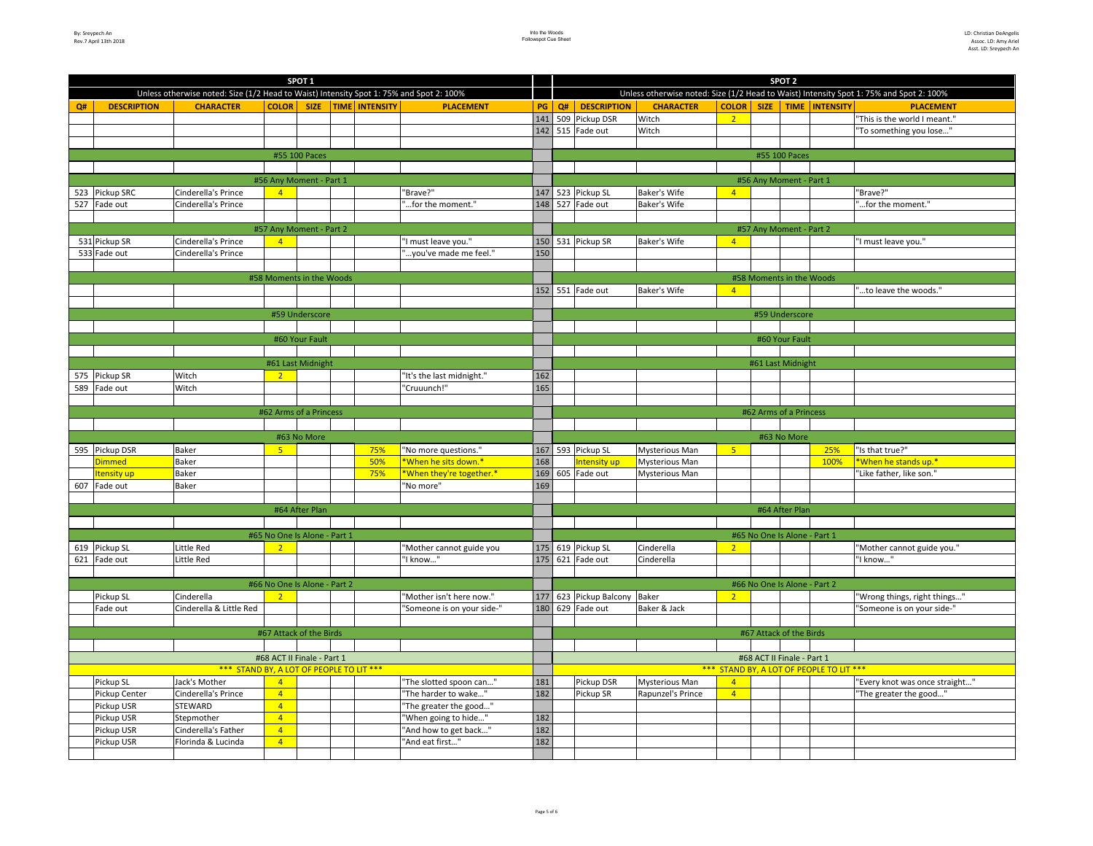|     |                         |                                                                                         |                              |                   | SPOT <sub>2</sub>          |                            |     |    |                              |                       |                                          |             |                              |                  |                                                                                         |
|-----|-------------------------|-----------------------------------------------------------------------------------------|------------------------------|-------------------|----------------------------|----------------------------|-----|----|------------------------------|-----------------------|------------------------------------------|-------------|------------------------------|------------------|-----------------------------------------------------------------------------------------|
|     |                         | Unless otherwise noted: Size (1/2 Head to Waist) Intensity Spot 1: 75% and Spot 2: 100% |                              |                   |                            |                            |     |    |                              |                       |                                          |             |                              |                  | Unless otherwise noted: Size (1/2 Head to Waist) Intensity Spot 1: 75% and Spot 2: 100% |
| Q#  | <b>DESCRIPTION</b>      | <b>CHARACTER</b>                                                                        | <b>COLOR</b>                 | <b>SIZE</b>       | <b>TIME INTENSITY</b>      | <b>PLACEMENT</b>           | PG  | Q# | <b>DESCRIPTION</b>           | <b>CHARACTER</b>      | <b>COLOR</b>                             | <b>SIZE</b> |                              | TIME   INTENSITY | <b>PLACEMENT</b>                                                                        |
|     |                         |                                                                                         |                              |                   |                            |                            |     |    | 141 509 Pickup DSR           | Witch                 | $\overline{2}$                           |             |                              |                  | "This is the world I meant."                                                            |
|     |                         |                                                                                         |                              |                   |                            |                            |     |    | 142 515 Fade out             | Witch                 |                                          |             |                              |                  | "To something you lose"                                                                 |
|     |                         |                                                                                         |                              |                   |                            |                            |     |    |                              |                       |                                          |             |                              |                  |                                                                                         |
|     |                         |                                                                                         |                              | #55 100 Paces     |                            |                            |     |    |                              |                       |                                          |             | #55 100 Paces                |                  |                                                                                         |
|     |                         |                                                                                         |                              |                   |                            |                            |     |    |                              |                       |                                          |             |                              |                  |                                                                                         |
|     |                         |                                                                                         | #56 Any Moment - Part 1      |                   |                            |                            |     |    |                              |                       |                                          |             | #56 Any Moment - Part 1      |                  |                                                                                         |
|     | 523 Pickup SRC          | Cinderella's Prince                                                                     | $\overline{4}$               |                   |                            | "Brave?"                   |     |    | 147 523 Pickup SL            | Baker's Wife          | $\overline{4}$                           |             |                              |                  | "Brave?"                                                                                |
|     | 527 Fade out            | Cinderella's Prince                                                                     |                              |                   |                            | "for the moment."          |     |    | 148 527 Fade out             | Baker's Wife          |                                          |             |                              |                  | "for the moment."                                                                       |
|     |                         |                                                                                         |                              |                   |                            |                            |     |    |                              |                       |                                          |             |                              |                  |                                                                                         |
|     |                         |                                                                                         | #57 Any Moment - Part 2      |                   |                            |                            |     |    |                              |                       |                                          |             | #57 Any Moment - Part 2      |                  |                                                                                         |
|     | 531 Pickup SR           | Cinderella's Prince                                                                     | $\overline{4}$               |                   |                            | "I must leave you."        |     |    | 150 531 Pickup SR            | Baker's Wife          | $\overline{4}$                           |             |                              |                  | "I must leave you."                                                                     |
|     | 533 Fade out            | Cinderella's Prince                                                                     |                              |                   |                            | "you've made me feel."     | 150 |    |                              |                       |                                          |             |                              |                  |                                                                                         |
|     |                         |                                                                                         |                              |                   |                            |                            |     |    |                              |                       |                                          |             |                              |                  |                                                                                         |
|     |                         |                                                                                         | #58 Moments in the Woods     |                   |                            |                            |     |    |                              |                       |                                          |             | #58 Moments in the Woods     |                  |                                                                                         |
|     |                         |                                                                                         |                              |                   |                            |                            |     |    | 152 551 Fade out             | <b>Baker's Wife</b>   | 4 <sup>1</sup>                           |             |                              |                  | "to leave the woods."                                                                   |
|     |                         |                                                                                         |                              |                   |                            |                            |     |    |                              |                       |                                          |             |                              |                  |                                                                                         |
|     |                         |                                                                                         |                              | #59 Underscore    |                            |                            |     |    |                              |                       |                                          |             | #59 Underscore               |                  |                                                                                         |
|     |                         |                                                                                         |                              |                   |                            |                            |     |    |                              |                       |                                          |             |                              |                  |                                                                                         |
|     |                         |                                                                                         |                              | #60 Your Fault    |                            |                            |     |    |                              |                       |                                          |             | #60 Your Fault               |                  |                                                                                         |
|     |                         |                                                                                         |                              |                   |                            |                            |     |    |                              |                       |                                          |             |                              |                  |                                                                                         |
|     |                         |                                                                                         |                              | #61 Last Midnight |                            |                            |     |    |                              |                       |                                          |             | #61 Last Midnight            |                  |                                                                                         |
|     | 575 Pickup SR           | Witch                                                                                   | $\overline{2}$               |                   |                            | "It's the last midnight."  | 162 |    |                              |                       |                                          |             |                              |                  |                                                                                         |
| 589 | Fade out                | Witch                                                                                   |                              |                   |                            | "Cruuunch!"                | 165 |    |                              |                       |                                          |             |                              |                  |                                                                                         |
|     |                         |                                                                                         |                              |                   |                            |                            |     |    |                              |                       |                                          |             |                              |                  |                                                                                         |
|     |                         |                                                                                         | #62 Arms of a Princess       |                   |                            |                            |     |    |                              |                       |                                          |             | #62 Arms of a Princess       |                  |                                                                                         |
|     |                         |                                                                                         |                              |                   |                            |                            |     |    |                              |                       |                                          |             |                              |                  |                                                                                         |
|     |                         |                                                                                         |                              | #63 No More       |                            |                            |     |    |                              |                       |                                          |             | #63 No More                  |                  |                                                                                         |
|     | 595 Pickup DSR          | Baker                                                                                   | 5 <sub>o</sub>               |                   | 75%                        | "No more questions."       |     |    | 167 593 Pickup SL            | <b>Mysterious Man</b> | 5 <sup>2</sup>                           |             |                              | 25%              | "Is that true?"                                                                         |
|     | Dimmed                  | Baker                                                                                   |                              |                   | 50%                        | *When he sits down.*       | 168 |    | ntensity up                  | Mysterious Man        |                                          |             |                              | 100%             | *When he stands up.*                                                                    |
|     | <mark>tensity up</mark> | Baker                                                                                   |                              |                   | 75%                        | *When they're together.*   |     |    | 169 605 Fade out             | <b>Mysterious Man</b> |                                          |             |                              |                  | "Like father, like son."                                                                |
| 607 | Fade out                | Baker                                                                                   |                              |                   |                            | "No more"                  | 169 |    |                              |                       |                                          |             |                              |                  |                                                                                         |
|     |                         |                                                                                         |                              | #64 After Plan    |                            |                            |     |    |                              |                       |                                          |             | #64 After Plan               |                  |                                                                                         |
|     |                         |                                                                                         |                              |                   |                            |                            |     |    |                              |                       |                                          |             |                              |                  |                                                                                         |
|     |                         |                                                                                         | #65 No One Is Alone - Part 1 |                   |                            |                            |     |    |                              |                       |                                          |             |                              |                  |                                                                                         |
|     | 619 Pickup SL           | Little Red                                                                              | $\overline{2}$               |                   |                            | "Mother cannot guide you   |     |    | 175 619 Pickup SL            | Cinderella            | 2 <sup>1</sup>                           |             | #65 No One Is Alone - Part 1 |                  | "Mother cannot guide you."                                                              |
|     | 621 Fade out            | Little Red                                                                              |                              |                   |                            | "I know"                   |     |    | 175 621 Fade out             | Cinderella            |                                          |             |                              |                  | "I know"                                                                                |
|     |                         |                                                                                         |                              |                   |                            |                            |     |    |                              |                       |                                          |             |                              |                  |                                                                                         |
|     |                         |                                                                                         | #66 No One Is Alone - Part 2 |                   |                            |                            |     |    |                              |                       |                                          |             | #66 No One Is Alone - Part 2 |                  |                                                                                         |
|     | Pickup SL               | Cinderella                                                                              |                              |                   |                            | "Mother isn't here now."   |     |    | 177 623 Pickup Balcony Baker |                       | $\overline{2}$                           |             |                              |                  | "Wrong things, right things"                                                            |
|     | Fade out                | Cinderella & Little Red                                                                 |                              |                   |                            | "Someone is on your side-" |     |    | 180 629 Fade out             | Baker & Jack          |                                          |             |                              |                  | "Someone is on your side-"                                                              |
|     |                         |                                                                                         |                              |                   |                            |                            |     |    |                              |                       |                                          |             |                              |                  |                                                                                         |
|     |                         |                                                                                         | #67 Attack of the Birds      |                   |                            |                            |     |    |                              |                       |                                          |             | #67 Attack of the Birds      |                  |                                                                                         |
|     |                         |                                                                                         |                              |                   |                            |                            |     |    |                              |                       |                                          |             |                              |                  |                                                                                         |
|     |                         |                                                                                         |                              |                   | #68 ACT II Finale - Part 1 |                            |     |    |                              |                       |                                          |             |                              |                  |                                                                                         |
|     |                         | *** STAND BY, A LOT OF PEOPLE TO LIT ***                                                |                              |                   |                            |                            |     |    |                              |                       | *** STAND BY, A LOT OF PEOPLE TO LIT *** |             |                              |                  |                                                                                         |
|     | Pickup SL               | Jack's Mother                                                                           | $\overline{A}$               |                   |                            | "The slotted spoon can"    | 181 |    | Pickup DSR                   | Mysterious Man        | $\overline{4}$                           |             |                              |                  | "Every knot was once straight"                                                          |
|     | Pickup Center           | Cinderella's Prince                                                                     | $\overline{4}$               |                   |                            | "The harder to wake"       | 182 |    | Pickup SR                    | Rapunzel's Prince     | $\overline{4}$                           |             |                              |                  | "The greater the good"                                                                  |
|     | Pickup USR              | <b>STEWARD</b>                                                                          | $\overline{4}$               |                   |                            | "The greater the good"     |     |    |                              |                       |                                          |             |                              |                  |                                                                                         |
|     | Pickup USR              | Stepmother                                                                              | $\overline{4}$               |                   |                            | "When going to hide"       | 182 |    |                              |                       |                                          |             |                              |                  |                                                                                         |
|     | Pickup USR              | Cinderella's Father                                                                     | $\overline{4}$               |                   |                            | "And how to get back"      | 182 |    |                              |                       |                                          |             |                              |                  |                                                                                         |
|     | Pickup USR              | Florinda & Lucinda                                                                      | $\overline{4}$               |                   |                            | "And eat first"            | 182 |    |                              |                       |                                          |             |                              |                  |                                                                                         |
|     |                         |                                                                                         |                              |                   |                            |                            |     |    |                              |                       |                                          |             |                              |                  |                                                                                         |